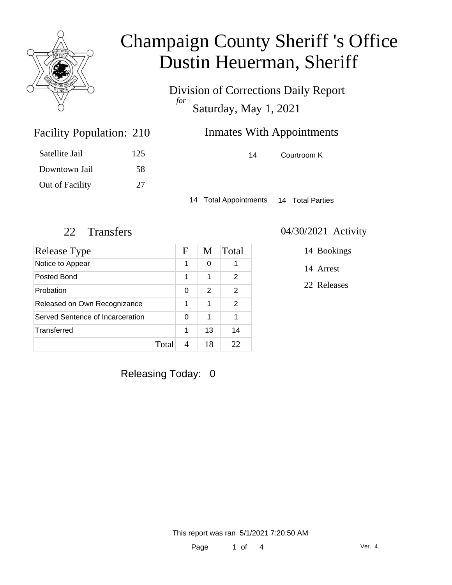

Division of Corrections Daily Report *for* Saturday, May 1, 2021

| 210 | <b>Inmates With Appointments</b> |             |
|-----|----------------------------------|-------------|
| 125 | 14                               | Courtroom K |

14 Total Appointments 14 Total Parties

Facility Population: 210

Satellite Jail 125

Downtown Jail 58

Out of Facility 27

| <b>Release Type</b>              |       | F | M  | Total |
|----------------------------------|-------|---|----|-------|
| Notice to Appear                 |       | 1 | 0  |       |
| Posted Bond                      |       | 1 | 1  | 2     |
| Probation                        |       | 0 | 2  | 2     |
| Released on Own Recognizance     |       | 1 | 1  | 2     |
| Served Sentence of Incarceration |       | 0 | 1  | 1     |
| Transferred                      |       | 1 | 13 | 14    |
|                                  | Total |   | 18 | フフ    |

#### 22 Transfers 04/30/2021 Activity

14 Bookings

14 Arrest

22 Releases

Releasing Today: 0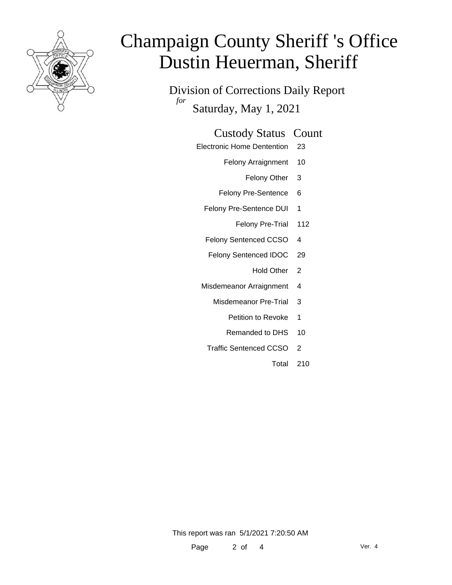

Division of Corrections Daily Report *for* Saturday, May 1, 2021

#### Custody Status Count

- Electronic Home Dentention 23
	- Felony Arraignment 10
		- Felony Other 3
	- Felony Pre-Sentence 6
	- Felony Pre-Sentence DUI 1
		- Felony Pre-Trial 112
	- Felony Sentenced CCSO 4
	- Felony Sentenced IDOC 29
		- Hold Other<sub>2</sub>
	- Misdemeanor Arraignment 4
		- Misdemeanor Pre-Trial 3
			- Petition to Revoke 1
			- Remanded to DHS 10
		- Traffic Sentenced CCSO 2
			- Total 210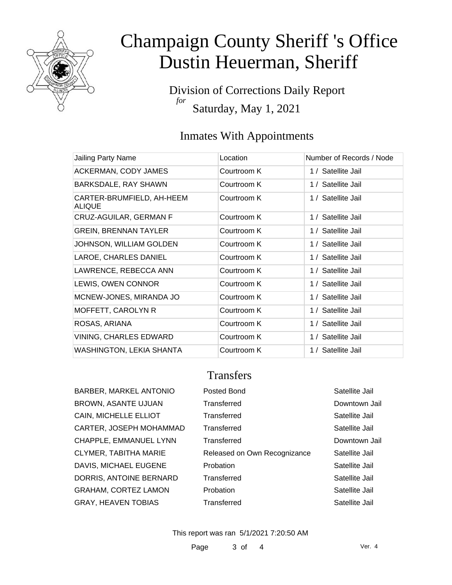

Division of Corrections Daily Report *for* Saturday, May 1, 2021

### Inmates With Appointments

| Jailing Party Name                         | Location    | Number of Records / Node |
|--------------------------------------------|-------------|--------------------------|
|                                            |             |                          |
| ACKERMAN, CODY JAMES                       | Courtroom K | 1 / Satellite Jail       |
| BARKSDALE, RAY SHAWN                       | Courtroom K | 1 / Satellite Jail       |
| CARTER-BRUMFIELD, AH-HEEM<br><b>ALIQUE</b> | Courtroom K | 1 / Satellite Jail       |
| CRUZ-AGUILAR, GERMAN F                     | Courtroom K | 1 / Satellite Jail       |
| <b>GREIN, BRENNAN TAYLER</b>               | Courtroom K | 1 / Satellite Jail       |
| <b>JOHNSON, WILLIAM GOLDEN</b>             | Courtroom K | 1 / Satellite Jail       |
| LAROE, CHARLES DANIEL                      | Courtroom K | 1 / Satellite Jail       |
| LAWRENCE, REBECCA ANN                      | Courtroom K | 1 / Satellite Jail       |
| LEWIS, OWEN CONNOR                         | Courtroom K | 1 / Satellite Jail       |
| MCNEW-JONES, MIRANDA JO                    | Courtroom K | 1 / Satellite Jail       |
| MOFFETT, CAROLYN R                         | Courtroom K | 1 / Satellite Jail       |
| ROSAS, ARIANA                              | Courtroom K | 1 / Satellite Jail       |
| <b>VINING, CHARLES EDWARD</b>              | Courtroom K | 1 / Satellite Jail       |
| <b>WASHINGTON, LEKIA SHANTA</b>            | Courtroom K | 1 / Satellite Jail       |
|                                            |             |                          |

### **Transfers**

| <b>BARBER, MARKEL ANTONIO</b> |
|-------------------------------|
| <b>BROWN, ASANTE UJUAN</b>    |
| CAIN, MICHELLE ELLIOT         |
| CARTER, JOSEPH MOHAMMAD       |
| CHAPPLE, EMMANUEL LYNN        |
| <b>CLYMER, TABITHA MARIE</b>  |
| DAVIS, MICHAEL EUGENE         |
| DORRIS, ANTOINE BERNARD       |
| <b>GRAHAM, CORTEZ LAMON</b>   |
| <b>GRAY, HEAVEN TOBIAS</b>    |

| BARBER, MARKEL ANTONIO      | Posted Bond                  | Satellite Jail |
|-----------------------------|------------------------------|----------------|
| BROWN, ASANTE UJUAN         | Transferred                  | Downtown Jail  |
| CAIN, MICHELLE ELLIOT       | Transferred                  | Satellite Jail |
| CARTER, JOSEPH MOHAMMAD     | Transferred                  | Satellite Jail |
| CHAPPLE, EMMANUEL LYNN      | Transferred                  | Downtown Jail  |
| CLYMER, TABITHA MARIE       | Released on Own Recognizance | Satellite Jail |
| DAVIS, MICHAEL EUGENE       | Probation                    | Satellite Jail |
| DORRIS, ANTOINE BERNARD     | Transferred                  | Satellite Jail |
| <b>GRAHAM, CORTEZ LAMON</b> | Probation                    | Satellite Jail |
| GRAY, HEAVEN TOBIAS         | Transferred                  | Satellite Jail |